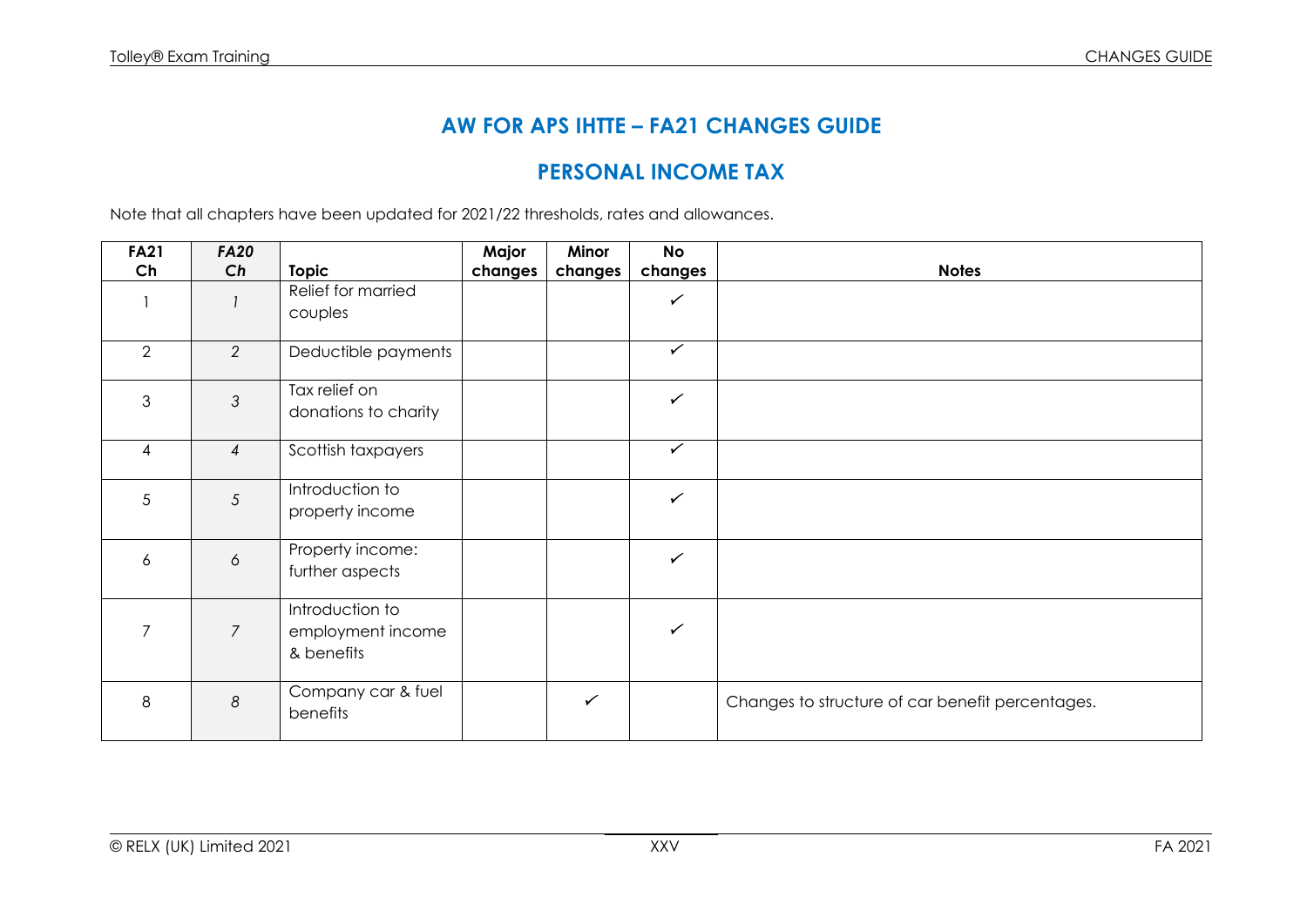# **AW FOR APS IHTTE – FA21 CHANGES GUIDE**

### **PERSONAL INCOME TAX**

Note that all chapters have been updated for 2021/22 thresholds, rates and allowances.

| <b>FA21</b>              | <b>FA20</b>          |                                                    | Major   | Minor        | <b>No</b>    |                                                  |
|--------------------------|----------------------|----------------------------------------------------|---------|--------------|--------------|--------------------------------------------------|
| Ch                       | Ch                   | <b>Topic</b>                                       | changes | changes      | changes      | <b>Notes</b>                                     |
|                          |                      | Relief for married<br>couples                      |         |              | $\checkmark$ |                                                  |
| 2                        | 2                    | Deductible payments                                |         |              | $\checkmark$ |                                                  |
| 3                        | $\mathfrak{Z}$       | Tax relief on<br>donations to charity              |         |              | $\checkmark$ |                                                  |
| $\overline{\mathcal{A}}$ | $\overline{4}$       | Scottish taxpayers                                 |         |              | $\checkmark$ |                                                  |
| 5                        | 5                    | Introduction to<br>property income                 |         |              | $\checkmark$ |                                                  |
| 6                        | $\acute{\mathrm{o}}$ | Property income:<br>further aspects                |         |              | $\checkmark$ |                                                  |
| 7                        | $\overline{7}$       | Introduction to<br>employment income<br>& benefits |         |              | $\checkmark$ |                                                  |
| 8                        | $\delta$             | Company car & fuel<br>benefits                     |         | $\checkmark$ |              | Changes to structure of car benefit percentages. |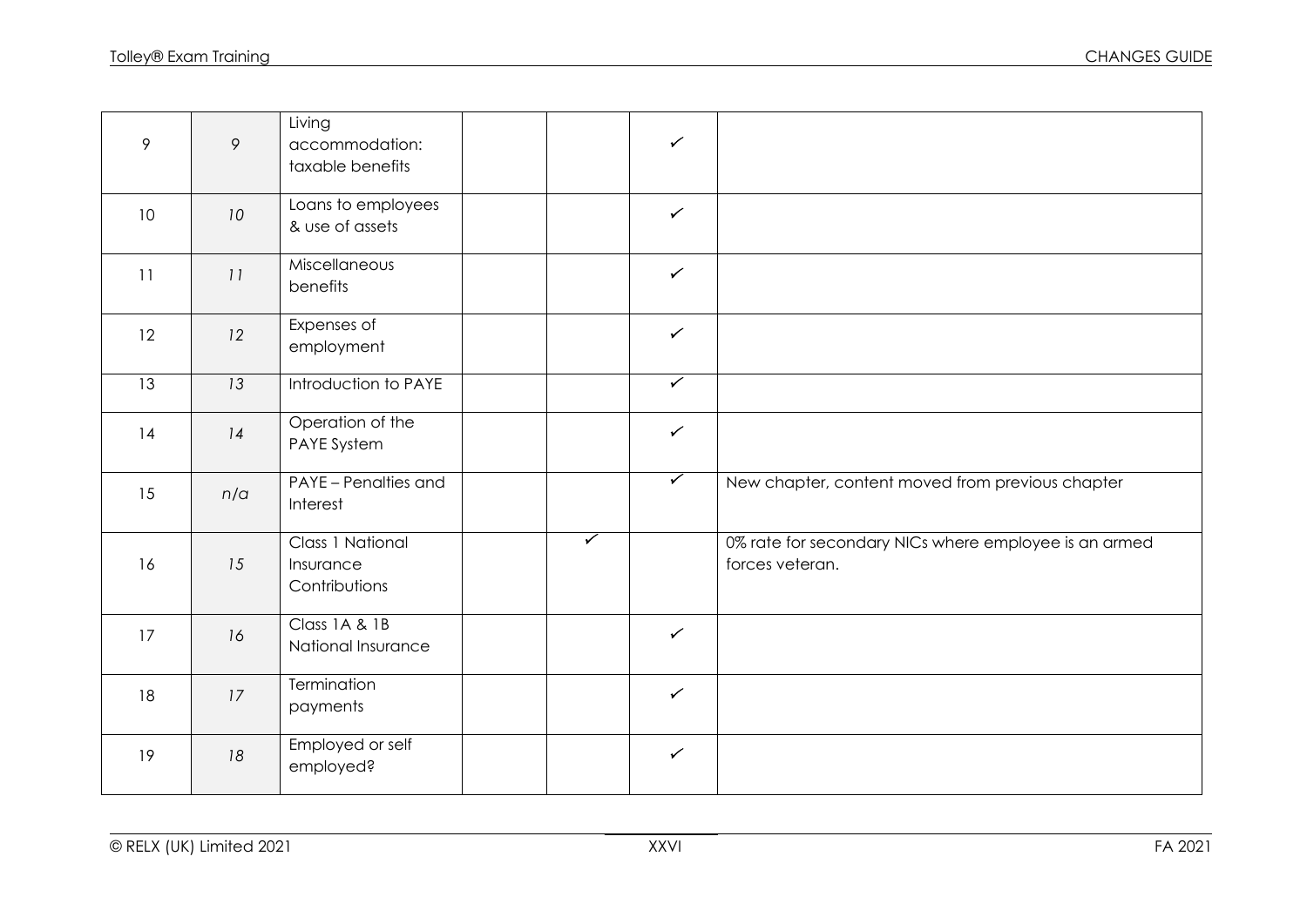| 9               | 9   | Living<br>accommodation:<br>taxable benefits   |                         | $\checkmark$ |                                                                          |
|-----------------|-----|------------------------------------------------|-------------------------|--------------|--------------------------------------------------------------------------|
| 10 <sup>°</sup> | 10  | Loans to employees<br>& use of assets          |                         | $\checkmark$ |                                                                          |
| 11              | 11  | Miscellaneous<br>benefits                      |                         | $\checkmark$ |                                                                          |
| 12              | 12  | Expenses of<br>employment                      |                         | $\checkmark$ |                                                                          |
| 13              | 13  | Introduction to PAYE                           |                         | $\checkmark$ |                                                                          |
| 14              | 14  | Operation of the<br>PAYE System                |                         | $\checkmark$ |                                                                          |
| 15              | n/a | PAYE - Penalties and<br>Interest               |                         | $\checkmark$ | New chapter, content moved from previous chapter                         |
| 16              | 15  | Class 1 National<br>Insurance<br>Contributions | $\overline{\checkmark}$ |              | 0% rate for secondary NICs where employee is an armed<br>forces veteran. |
| 17              | 16  | Class 1A & 1B<br>National Insurance            |                         | $\checkmark$ |                                                                          |
| 18              | 17  | Termination<br>payments                        |                         | $\checkmark$ |                                                                          |
| 19              | 18  | Employed or self<br>employed?                  |                         | $\checkmark$ |                                                                          |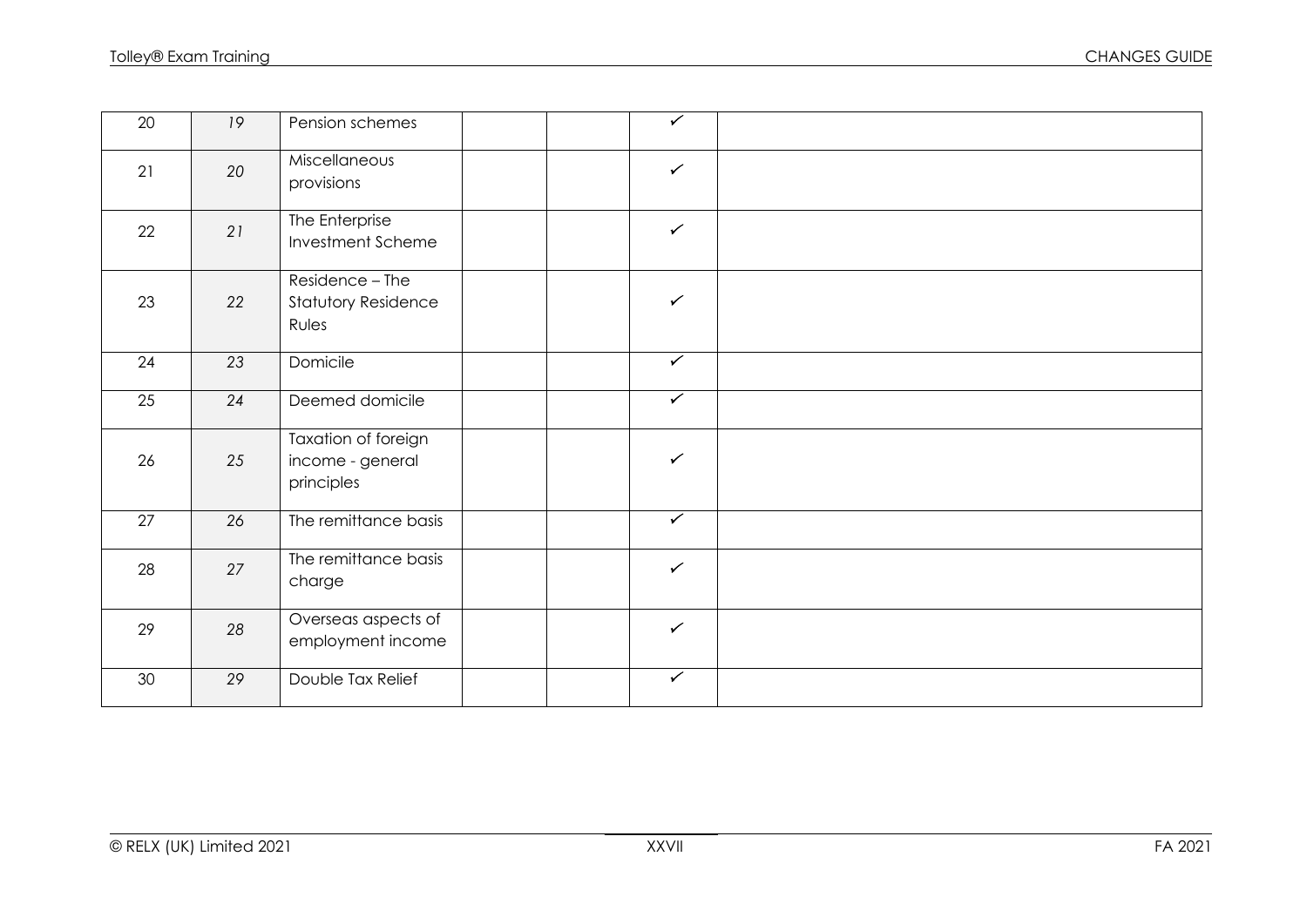| $\overline{20}$ | 19 | Pension schemes                                        | $\overline{\mathscr{C}}$ |  |
|-----------------|----|--------------------------------------------------------|--------------------------|--|
| 21              | 20 | Miscellaneous<br>provisions                            | $\checkmark$             |  |
| 22              | 21 | The Enterprise<br>Investment Scheme                    | $\checkmark$             |  |
| 23              | 22 | Residence - The<br><b>Statutory Residence</b><br>Rules | $\checkmark$             |  |
| 24              | 23 | Domicile                                               | $\sqrt{ }$               |  |
| 25              | 24 | Deemed domicile                                        | $\sqrt{ }$               |  |
| 26              | 25 | Taxation of foreign<br>income - general<br>principles  | $\checkmark$             |  |
| 27              | 26 | The remittance basis                                   | $\overline{\checkmark}$  |  |
| 28              | 27 | The remittance basis<br>charge                         | $\checkmark$             |  |
| 29              | 28 | Overseas aspects of<br>employment income               | $\checkmark$             |  |
| 30              | 29 | Double Tax Relief                                      | $\overline{\mathscr{C}}$ |  |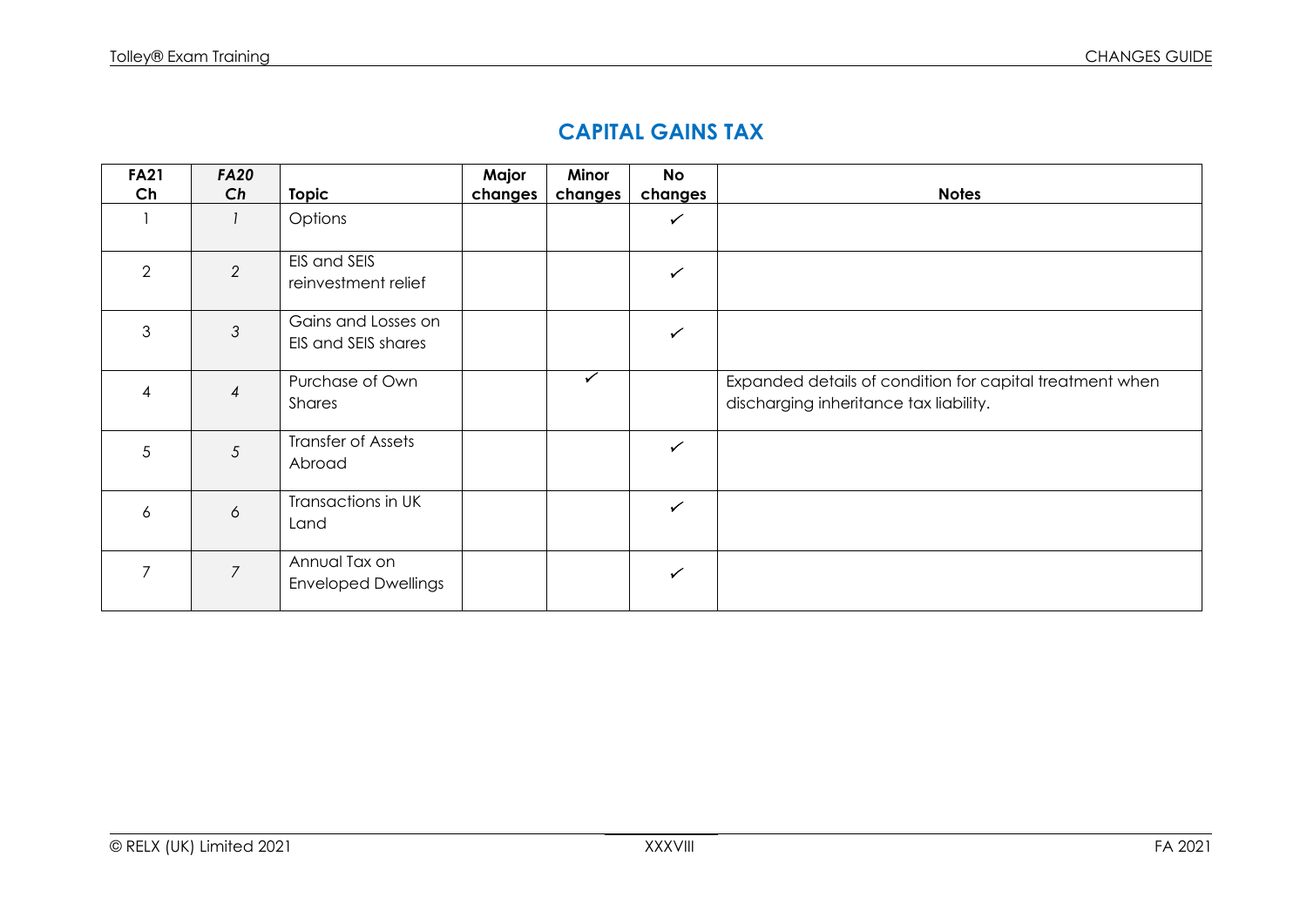#### **CAPITAL GAINS TAX**

| <b>FA21</b><br>Ch | <b>FA20</b><br>Ch | <b>Topic</b>                                | Major<br>changes | Minor<br>changes | <b>No</b><br>changes | <b>Notes</b>                                                                                       |
|-------------------|-------------------|---------------------------------------------|------------------|------------------|----------------------|----------------------------------------------------------------------------------------------------|
|                   |                   | Options                                     |                  |                  | $\checkmark$         |                                                                                                    |
| $\overline{2}$    | 2                 | EIS and SEIS<br>reinvestment relief         |                  |                  | $\checkmark$         |                                                                                                    |
| 3                 | $\mathfrak{Z}$    | Gains and Losses on<br>EIS and SEIS shares  |                  |                  | $\checkmark$         |                                                                                                    |
| 4                 | $\overline{4}$    | Purchase of Own<br>Shares                   |                  | $\checkmark$     |                      | Expanded details of condition for capital treatment when<br>discharging inheritance tax liability. |
| 5                 | 5                 | Transfer of Assets<br>Abroad                |                  |                  | $\checkmark$         |                                                                                                    |
| 6                 | 6                 | Transactions in UK<br>Land                  |                  |                  | $\checkmark$         |                                                                                                    |
| 7                 | $\overline{7}$    | Annual Tax on<br><b>Enveloped Dwellings</b> |                  |                  | ✓                    |                                                                                                    |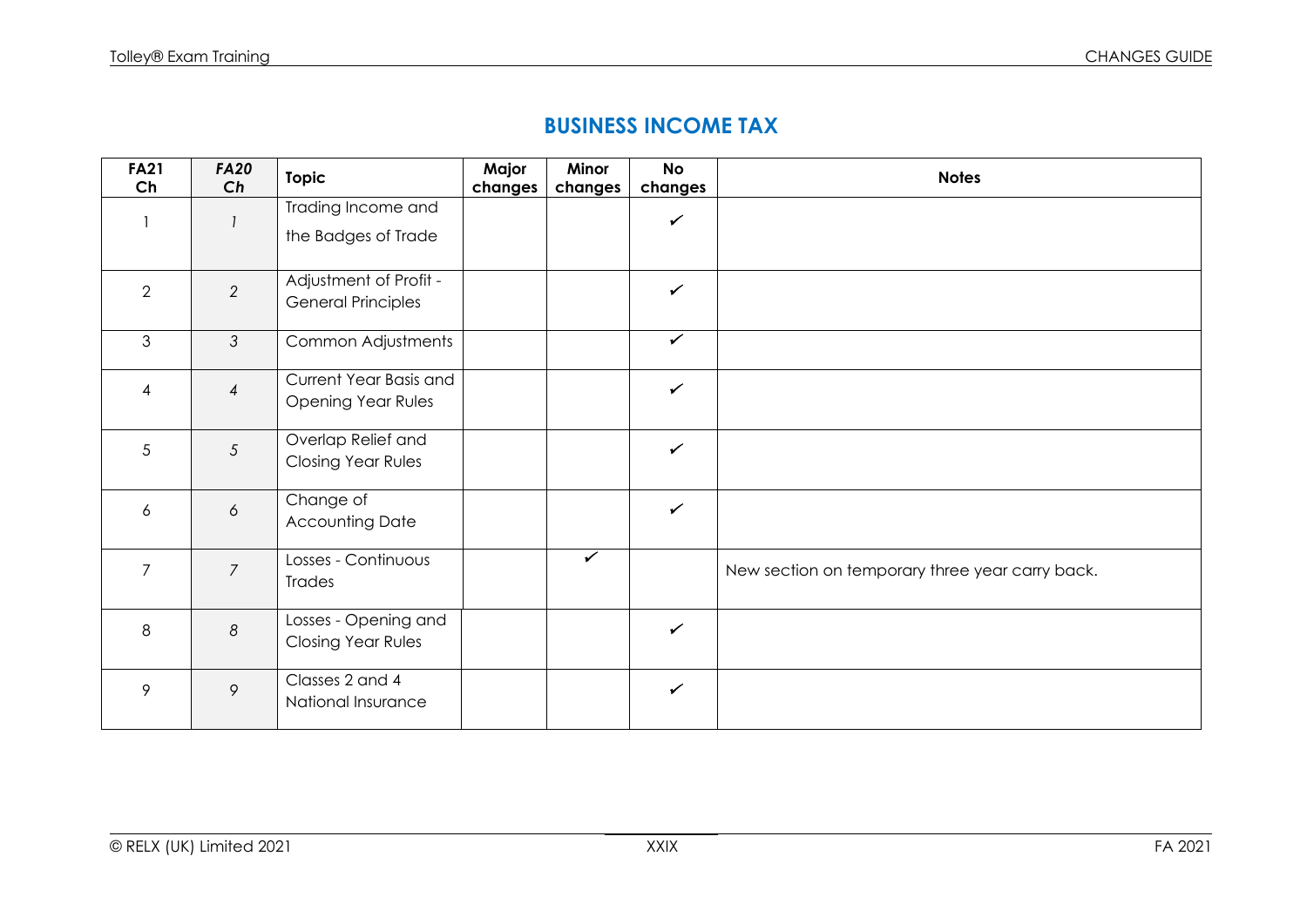#### **BUSINESS INCOME TAX**

| <b>FA21</b><br>Ch | <b>FA20</b><br>Ch | Topic                                    | Major<br>changes | Minor<br>changes | <b>No</b><br>changes | <b>Notes</b>                                    |
|-------------------|-------------------|------------------------------------------|------------------|------------------|----------------------|-------------------------------------------------|
|                   |                   | Trading Income and                       |                  |                  | $\checkmark$         |                                                 |
|                   |                   | the Badges of Trade                      |                  |                  |                      |                                                 |
| $\overline{2}$    | $\overline{2}$    | Adjustment of Profit -                   |                  |                  | $\checkmark$         |                                                 |
|                   |                   | <b>General Principles</b>                |                  |                  |                      |                                                 |
| $\mathfrak{S}$    | $\mathcal{S}$     | Common Adjustments                       |                  |                  | $\checkmark$         |                                                 |
| $\overline{4}$    | $\overline{4}$    | Current Year Basis and                   |                  |                  | $\checkmark$         |                                                 |
|                   |                   | <b>Opening Year Rules</b>                |                  |                  |                      |                                                 |
| 5                 | $5\overline{)}$   | Overlap Relief and<br>Closing Year Rules |                  |                  | $\checkmark$         |                                                 |
|                   |                   |                                          |                  |                  |                      |                                                 |
| 6                 | 6                 | Change of                                |                  |                  | $\checkmark$         |                                                 |
|                   |                   | <b>Accounting Date</b>                   |                  |                  |                      |                                                 |
| $\overline{7}$    | $\overline{7}$    | Losses - Continuous                      |                  | $\checkmark$     |                      | New section on temporary three year carry back. |
|                   |                   | <b>Trades</b>                            |                  |                  |                      |                                                 |
| 8                 | $\boldsymbol{8}$  | Losses - Opening and                     |                  |                  | $\checkmark$         |                                                 |
|                   |                   | Closing Year Rules                       |                  |                  |                      |                                                 |
| 9                 | $\circ$           | Classes 2 and 4                          |                  |                  | $\checkmark$         |                                                 |
|                   |                   | National Insurance                       |                  |                  |                      |                                                 |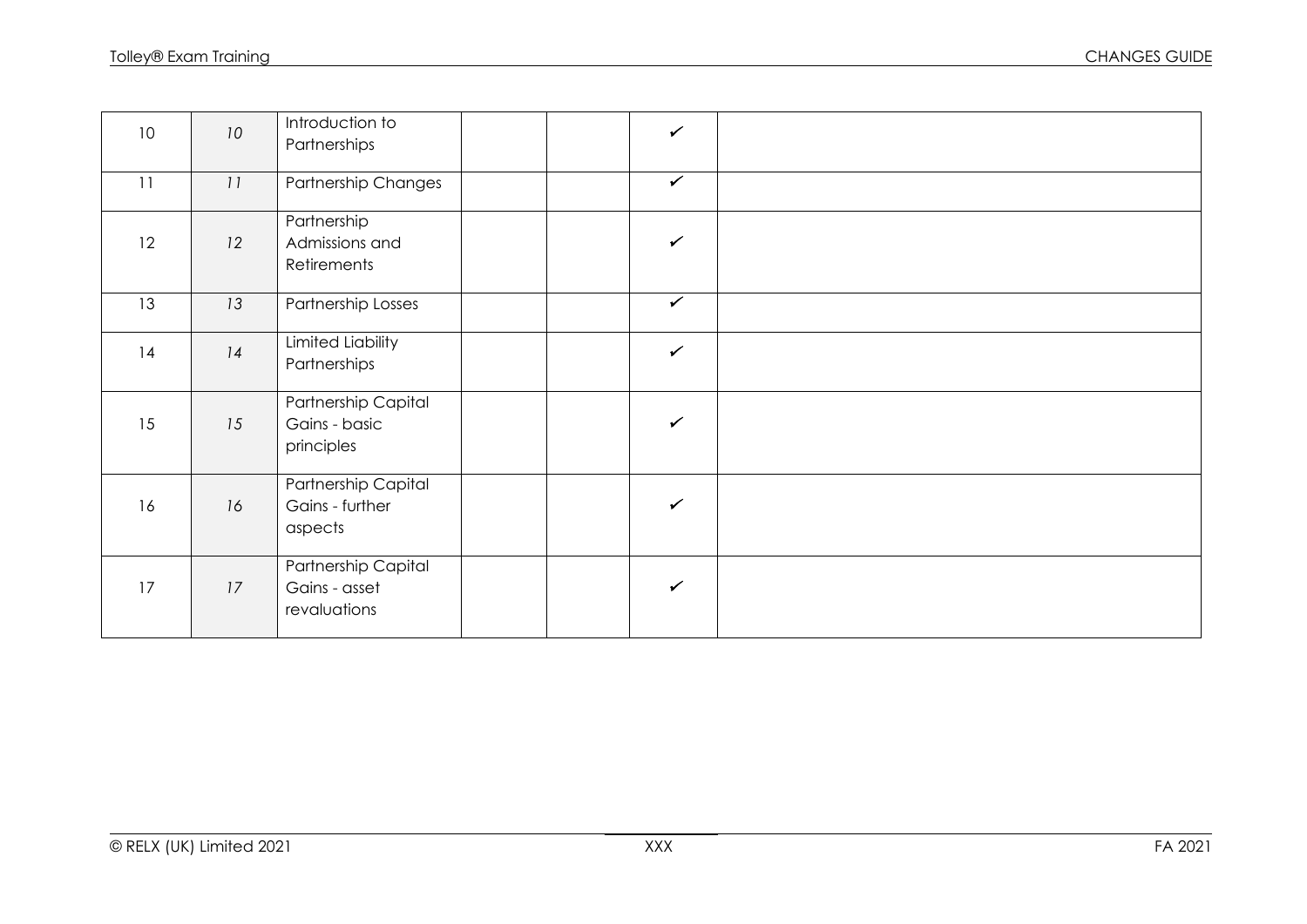| 10 <sup>°</sup> | 10 | Introduction to<br>Partnerships                      | $\checkmark$ |  |
|-----------------|----|------------------------------------------------------|--------------|--|
| 11              | 11 | <b>Partnership Changes</b>                           | $\checkmark$ |  |
| 12              | 12 | Partnership<br>Admissions and<br>Retirements         | $\checkmark$ |  |
| 13              | 13 | Partnership Losses                                   | $\checkmark$ |  |
| 14              | 14 | Limited Liability<br>Partnerships                    | $\checkmark$ |  |
| 15              | 15 | Partnership Capital<br>Gains - basic<br>principles   | $\checkmark$ |  |
| 16              | 16 | Partnership Capital<br>Gains - further<br>aspects    | $\checkmark$ |  |
| 17              | 17 | Partnership Capital<br>Gains - asset<br>revaluations | $\checkmark$ |  |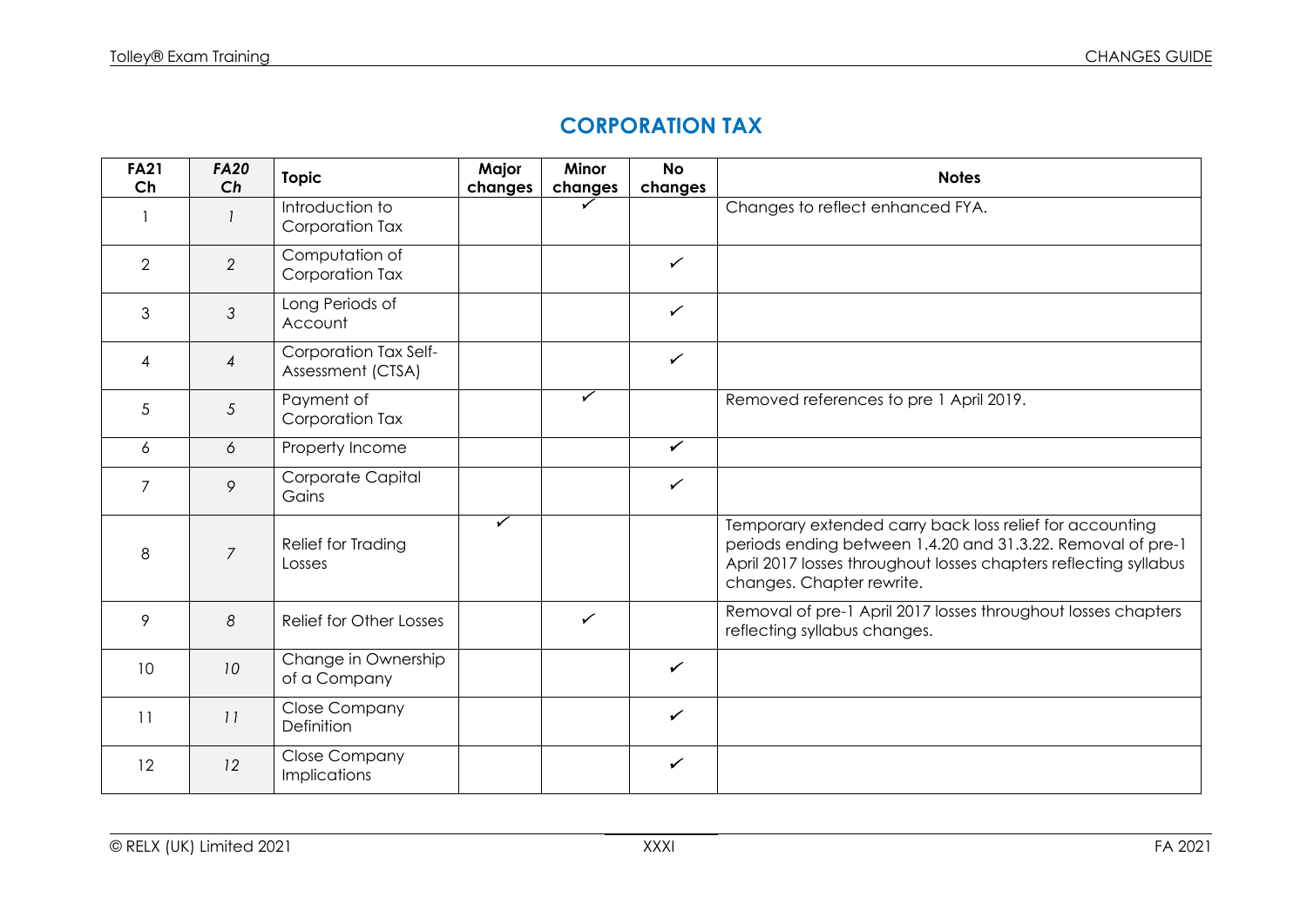## **CORPORATION TAX**

| <b>FA21</b><br>Ch | <b>FA20</b><br>Ch | <b>Topic</b>                                | Major<br>changes | Minor<br>changes | <b>No</b><br>changes | <b>Notes</b>                                                                                                                                                                                                             |
|-------------------|-------------------|---------------------------------------------|------------------|------------------|----------------------|--------------------------------------------------------------------------------------------------------------------------------------------------------------------------------------------------------------------------|
|                   |                   | Introduction to<br>Corporation Tax          |                  |                  |                      | Changes to reflect enhanced FYA.                                                                                                                                                                                         |
| $\overline{2}$    | $\overline{2}$    | Computation of<br>Corporation Tax           |                  |                  | $\checkmark$         |                                                                                                                                                                                                                          |
| 3                 | $\mathfrak{Z}$    | Long Periods of<br>Account                  |                  |                  | $\checkmark$         |                                                                                                                                                                                                                          |
| 4                 | 4                 | Corporation Tax Self-<br>Assessment (CTSA)  |                  |                  | $\checkmark$         |                                                                                                                                                                                                                          |
| 5                 | 5                 | Payment of<br>Corporation Tax               |                  | ✓                |                      | Removed references to pre 1 April 2019.                                                                                                                                                                                  |
| 6                 | 6                 | Property Income                             |                  |                  | $\checkmark$         |                                                                                                                                                                                                                          |
| $\overline{7}$    | 9                 | Corporate Capital<br>Gains                  |                  |                  | $\checkmark$         |                                                                                                                                                                                                                          |
| 8                 | $\overline{7}$    | Relief for Trading<br>Losses                | ✓                |                  |                      | Temporary extended carry back loss relief for accounting<br>periods ending between 1.4.20 and 31.3.22. Removal of pre-1<br>April 2017 losses throughout losses chapters reflecting syllabus<br>changes. Chapter rewrite. |
| 9                 | 8                 | <b>Relief for Other Losses</b>              |                  | $\checkmark$     |                      | Removal of pre-1 April 2017 losses throughout losses chapters<br>reflecting syllabus changes.                                                                                                                            |
| 10                | 10                | Change in Ownership<br>of a Company         |                  |                  | $\checkmark$         |                                                                                                                                                                                                                          |
| 11                | 11                | <b>Close Company</b><br>Definition          |                  |                  | $\checkmark$         |                                                                                                                                                                                                                          |
| 12                | 12                | <b>Close Company</b><br><b>Implications</b> |                  |                  | $\checkmark$         |                                                                                                                                                                                                                          |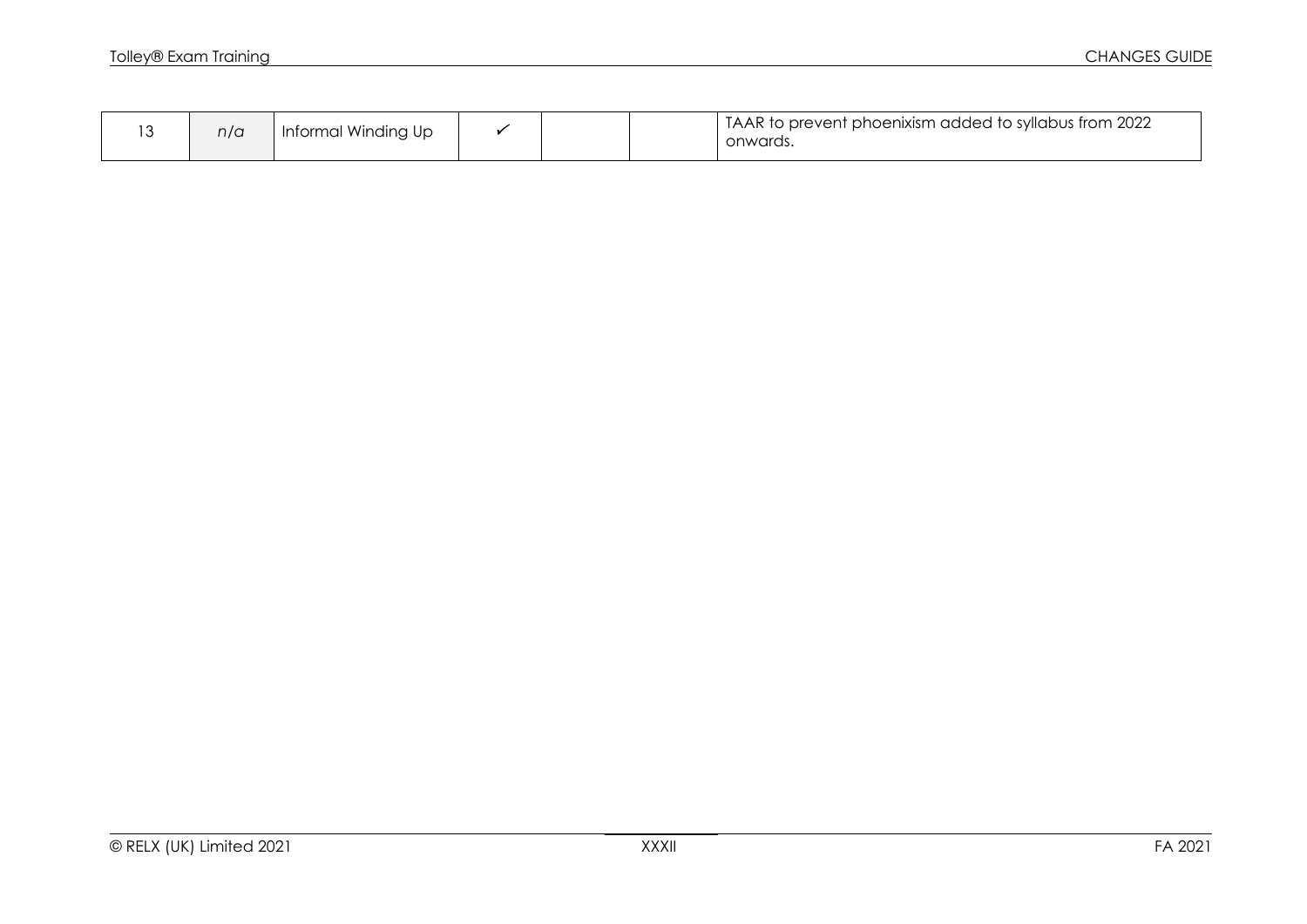|  | n/a | Informal Winding Up |  |  |  | I TAAR to prevent phoenixism added to syllabus from 2022<br>onwards. |
|--|-----|---------------------|--|--|--|----------------------------------------------------------------------|
|--|-----|---------------------|--|--|--|----------------------------------------------------------------------|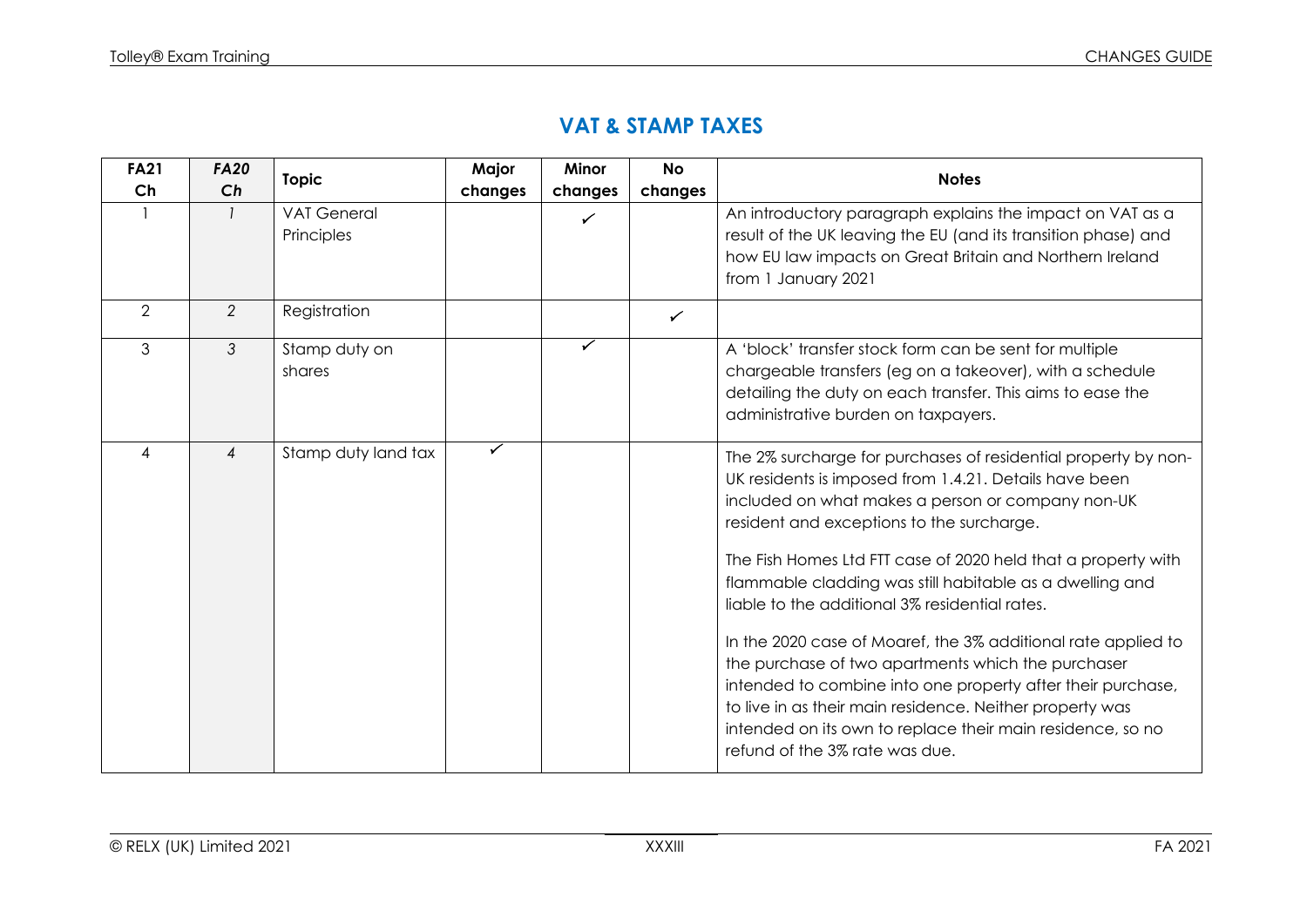### **VAT & STAMP TAXES**

| <b>FA21</b> | <b>FA20</b>    | <b>Topic</b>                     | Major   | <b>Minor</b> | <b>No</b>    | <b>Notes</b>                                                                                                                                                                                                                                                                                                                                                                                                                                                                                                                                                                                                                                                                                                                                                |
|-------------|----------------|----------------------------------|---------|--------------|--------------|-------------------------------------------------------------------------------------------------------------------------------------------------------------------------------------------------------------------------------------------------------------------------------------------------------------------------------------------------------------------------------------------------------------------------------------------------------------------------------------------------------------------------------------------------------------------------------------------------------------------------------------------------------------------------------------------------------------------------------------------------------------|
| Ch          | Ch             |                                  | changes | changes      | changes      |                                                                                                                                                                                                                                                                                                                                                                                                                                                                                                                                                                                                                                                                                                                                                             |
|             |                | <b>VAT General</b><br>Principles |         |              |              | An introductory paragraph explains the impact on VAT as a<br>result of the UK leaving the EU (and its transition phase) and<br>how EU law impacts on Great Britain and Northern Ireland<br>from 1 January 2021                                                                                                                                                                                                                                                                                                                                                                                                                                                                                                                                              |
| 2           | 2              | Registration                     |         |              | $\checkmark$ |                                                                                                                                                                                                                                                                                                                                                                                                                                                                                                                                                                                                                                                                                                                                                             |
| 3           | 3              | Stamp duty on<br>shares          |         |              |              | A 'block' transfer stock form can be sent for multiple<br>chargeable transfers (eg on a takeover), with a schedule<br>detailing the duty on each transfer. This aims to ease the<br>administrative burden on taxpayers.                                                                                                                                                                                                                                                                                                                                                                                                                                                                                                                                     |
| 4           | $\overline{4}$ | Stamp duty land tax              | ✓       |              |              | The 2% surcharge for purchases of residential property by non-<br>UK residents is imposed from 1.4.21. Details have been<br>included on what makes a person or company non-UK<br>resident and exceptions to the surcharge.<br>The Fish Homes Ltd FTT case of 2020 held that a property with<br>flammable cladding was still habitable as a dwelling and<br>liable to the additional 3% residential rates.<br>In the 2020 case of Moaref, the 3% additional rate applied to<br>the purchase of two apartments which the purchaser<br>intended to combine into one property after their purchase,<br>to live in as their main residence. Neither property was<br>intended on its own to replace their main residence, so no<br>refund of the 3% rate was due. |